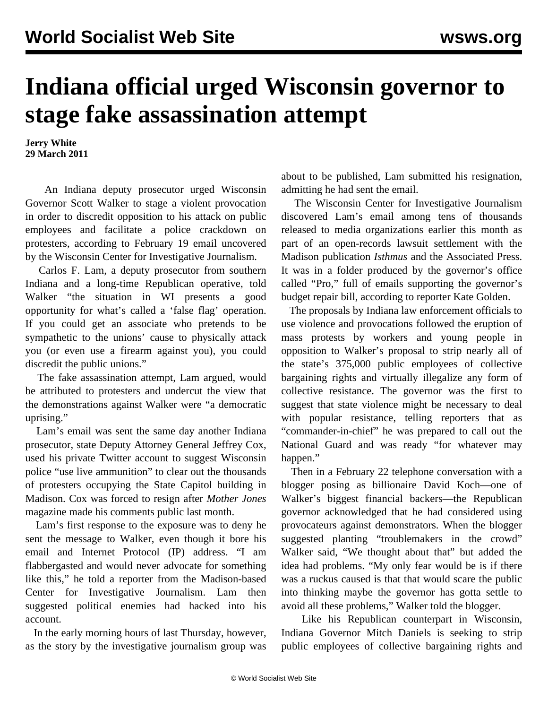## **Indiana official urged Wisconsin governor to stage fake assassination attempt**

**Jerry White 29 March 2011**

 An Indiana deputy prosecutor urged Wisconsin Governor Scott Walker to stage a violent provocation in order to discredit opposition to his attack on public employees and facilitate a police crackdown on protesters, according to February 19 email uncovered by the Wisconsin Center for Investigative Journalism.

 Carlos F. Lam, a deputy prosecutor from southern Indiana and a long-time Republican operative, told Walker "the situation in WI presents a good opportunity for what's called a 'false flag' operation. If you could get an associate who pretends to be sympathetic to the unions' cause to physically attack you (or even use a firearm against you), you could discredit the public unions."

 The fake assassination attempt, Lam argued, would be attributed to protesters and undercut the view that the demonstrations against Walker were "a democratic uprising."

 Lam's email was sent the same day another Indiana prosecutor, state Deputy Attorney General Jeffrey Cox, used his private Twitter account to suggest Wisconsin police "use live ammunition" to clear out the thousands of protesters occupying the State Capitol building in Madison. Cox was forced to resign after *Mother Jones* magazine made his comments public last month.

 Lam's first response to the exposure was to deny he sent the message to Walker, even though it bore his email and Internet Protocol (IP) address. "I am flabbergasted and would never advocate for something like this," he told a reporter from the Madison-based Center for Investigative Journalism. Lam then suggested political enemies had hacked into his account.

 In the early morning hours of last Thursday, however, as the story by the investigative journalism group was

about to be published, Lam submitted his resignation, admitting he had sent the email.

 The Wisconsin Center for Investigative Journalism discovered Lam's email among tens of thousands released to media organizations earlier this month as part of an open-records lawsuit settlement with the Madison publication *Isthmus* and the Associated Press. It was in a folder produced by the governor's office called "Pro," full of emails supporting the governor's budget repair bill, according to reporter Kate Golden.

 The proposals by Indiana law enforcement officials to use violence and provocations followed the eruption of mass protests by workers and young people in opposition to Walker's proposal to strip nearly all of the state's 375,000 public employees of collective bargaining rights and virtually illegalize any form of collective resistance. The governor was the first to suggest that state violence might be necessary to deal with popular resistance, telling reporters that as "commander-in-chief" he was prepared to call out the National Guard and was ready "for whatever may happen."

 Then in a February 22 telephone conversation with a blogger posing as billionaire David Koch—one of Walker's biggest financial backers—the Republican governor acknowledged that he had considered using provocateurs against demonstrators. When the blogger suggested planting "troublemakers in the crowd" Walker said, "We thought about that" but added the idea had problems. "My only fear would be is if there was a ruckus caused is that that would scare the public into thinking maybe the governor has gotta settle to avoid all these problems," Walker told the blogger.

 Like his Republican counterpart in Wisconsin, Indiana Governor Mitch Daniels is seeking to strip public employees of collective bargaining rights and